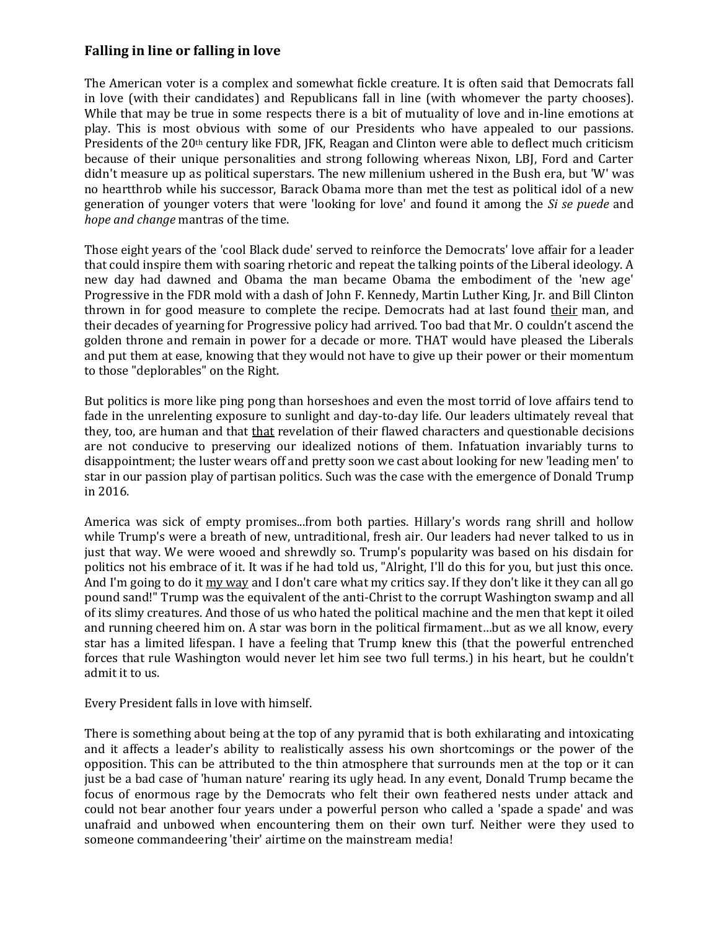## **Falling in line or falling in love**

The American voter is a complex and somewhat fickle creature. It is often said that Democrats fall in love (with their candidates) and Republicans fall in line (with whomever the party chooses). While that may be true in some respects there is a bit of mutuality of love and in-line emotions at play. This is most obvious with some of our Presidents who have appealed to our passions. Presidents of the 20th century like FDR, JFK, Reagan and Clinton were able to deflect much criticism because of their unique personalities and strong following whereas Nixon, LBJ, Ford and Carter didn't measure up as political superstars. The new millenium ushered in the Bush era, but 'W' was no heartthrob while his successor, Barack Obama more than met the test as political idol of a new generation of younger voters that were 'looking for love' and found it among the *Si se puede* and *hope and change* mantras of the time.

Those eight years of the 'cool Black dude' served to reinforce the Democrats' love affair for a leader that could inspire them with soaring rhetoric and repeat the talking points of the Liberal ideology. A new day had dawned and Obama the man became Obama the embodiment of the 'new age' Progressive in the FDR mold with a dash of John F. Kennedy, Martin Luther King, Jr. and Bill Clinton thrown in for good measure to complete the recipe. Democrats had at last found their man, and their decades of yearning for Progressive policy had arrived. Too bad that Mr. O couldn't ascend the golden throne and remain in power for a decade or more. THAT would have pleased the Liberals and put them at ease, knowing that they would not have to give up their power or their momentum to those "deplorables" on the Right.

But politics is more like ping pong than horseshoes and even the most torrid of love affairs tend to fade in the unrelenting exposure to sunlight and day-to-day life. Our leaders ultimately reveal that they, too, are human and that that revelation of their flawed characters and questionable decisions are not conducive to preserving our idealized notions of them. Infatuation invariably turns to disappointment; the luster wears off and pretty soon we cast about looking for new 'leading men' to star in our passion play of partisan politics. Such was the case with the emergence of Donald Trump in 2016.

America was sick of empty promises...from both parties. Hillary's words rang shrill and hollow while Trump's were a breath of new, untraditional, fresh air. Our leaders had never talked to us in just that way. We were wooed and shrewdly so. Trump's popularity was based on his disdain for politics not his embrace of it. It was if he had told us, "Alright, I'll do this for you, but just this once. And I'm going to do it my way and I don't care what my critics say. If they don't like it they can all go pound sand!" Trump was the equivalent of the anti-Christ to the corrupt Washington swamp and all of its slimy creatures. And those of us who hated the political machine and the men that kept it oiled and running cheered him on. A star was born in the political firmament…but as we all know, every star has a limited lifespan. I have a feeling that Trump knew this (that the powerful entrenched forces that rule Washington would never let him see two full terms.) in his heart, but he couldn't admit it to us.

## Every President falls in love with himself.

There is something about being at the top of any pyramid that is both exhilarating and intoxicating and it affects a leader's ability to realistically assess his own shortcomings or the power of the opposition. This can be attributed to the thin atmosphere that surrounds men at the top or it can just be a bad case of 'human nature' rearing its ugly head. In any event, Donald Trump became the focus of enormous rage by the Democrats who felt their own feathered nests under attack and could not bear another four years under a powerful person who called a 'spade a spade' and was unafraid and unbowed when encountering them on their own turf. Neither were they used to someone commandeering 'their' airtime on the mainstream media!